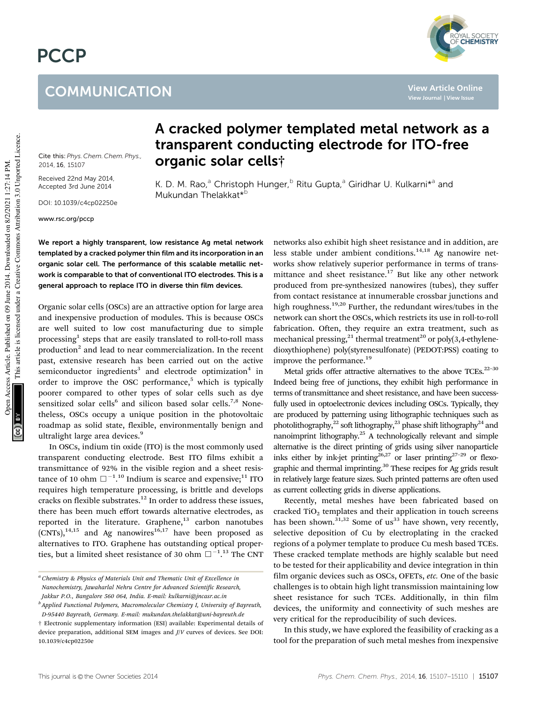# **PCCP**

## **COMMUNICATION**



**View Article Online**

Cite this: *Phys. Chem. Chem. Phys.,* 2014, 16, 15107

Received 22nd May 2014, Accepted 3rd June 2014

DOI: 10.1039/c4cp02250e

www.rsc.org/pccp

### A cracked polymer templated metal network as a transparent conducting electrode for ITO-free organic solar cells†

K. D. M. Rao,<sup>a</sup> Christoph Hunger,<sup>b</sup> Ritu Gupta,<sup>a</sup> Giridhar U. Kulkarni\*<sup>a</sup> and Mukundan Thelakkat<sup>\*b</sup>

We report a highly transparent, low resistance Ag metal network templated by a cracked polymer thin film and its incorporation in an organic solar cell. The performance of this scalable metallic network is comparable to that of conventional ITO electrodes. This is a general approach to replace ITO in diverse thin film devices.

Organic solar cells (OSCs) are an attractive option for large area and inexpensive production of modules. This is because OSCs are well suited to low cost manufacturing due to simple processing<sup>1</sup> steps that are easily translated to roll-to-roll mass production<sup>2</sup> and lead to near commercialization. In the recent past, extensive research has been carried out on the active semiconductor ingredients<sup>3</sup> and electrode optimization<sup>4</sup> in order to improve the OSC performance,<sup>5</sup> which is typically poorer compared to other types of solar cells such as dye sensitized solar cells<sup>6</sup> and silicon based solar cells.<sup>7,8</sup> Nonetheless, OSCs occupy a unique position in the photovoltaic roadmap as solid state, flexible, environmentally benign and ultralight large area devices.<sup>9</sup>

In OSCs, indium tin oxide (ITO) is the most commonly used transparent conducting electrode. Best ITO films exhibit a transmittance of 92% in the visible region and a sheet resistance of 10 ohm  $\square$ <sup>-1.10</sup> Indium is scarce and expensive;<sup>11</sup> ITO requires high temperature processing, is brittle and develops cracks on flexible substrates.<sup>12</sup> In order to address these issues, there has been much effort towards alternative electrodes, as reported in the literature. Graphene, $13$  carbon nanotubes  $(CNTs)$ ,<sup>14,15</sup> and Ag nanowires<sup>16,17</sup> have been proposed as alternatives to ITO. Graphene has outstanding optical properties, but a limited sheet resistance of 30 ohm  $\Box$ <sup>-1</sup>.<sup>13</sup> The CNT

networks also exhibit high sheet resistance and in addition, are less stable under ambient conditions. $14,18$  Ag nanowire networks show relatively superior performance in terms of transmittance and sheet resistance. $17$  But like any other network produced from pre-synthesized nanowires (tubes), they suffer from contact resistance at innumerable crossbar junctions and high roughness.<sup>19,20</sup> Further, the redundant wires/tubes in the network can short the OSCs, which restricts its use in roll-to-roll fabrication. Often, they require an extra treatment, such as mechanical pressing,<sup>21</sup> thermal treatment<sup>20</sup> or poly(3,4-ethylenedioxythiophene) poly(styrenesulfonate) (PEDOT:PSS) coating to improve the performance.<sup>19</sup>

Metal grids offer attractive alternatives to the above TCEs. $^{22-30}$ Indeed being free of junctions, they exhibit high performance in terms of transmittance and sheet resistance, and have been successfully used in optoelectronic devices including OSCs. Typically, they are produced by patterning using lithographic techniques such as photolithography,<sup>22</sup> soft lithography,<sup>23</sup> phase shift lithography<sup>24</sup> and nanoimprint lithography.<sup>25</sup> A technologically relevant and simple alternative is the direct printing of grids using silver nanoparticle inks either by ink-jet printing<sup>26,27</sup> or laser printing<sup>27-29</sup> or flexographic and thermal imprinting.<sup>30</sup> These recipes for Ag grids result in relatively large feature sizes. Such printed patterns are often used as current collecting grids in diverse applications.

Recently, metal meshes have been fabricated based on cracked  $TiO<sub>2</sub>$  templates and their application in touch screens has been shown.<sup>31,32</sup> Some of us<sup>33</sup> have shown, very recently, selective deposition of Cu by electroplating in the cracked regions of a polymer template to produce Cu mesh based TCEs. These cracked template methods are highly scalable but need to be tested for their applicability and device integration in thin film organic devices such as OSCs, OFETs, *etc.* One of the basic challenges is to obtain high light transmission maintaining low sheet resistance for such TCEs. Additionally, in thin film devices, the uniformity and connectivity of such meshes are very critical for the reproducibility of such devices.

In this study, we have explored the feasibility of cracking as a tool for the preparation of such metal meshes from inexpensive

*<sup>a</sup> Chemistry & Physics of Materials Unit and Thematic Unit of Excellence in Nanochemistry, Jawaharlal Nehru Centre for Advanced Scientific Research, Jakkur P.O., Bangalore 560 064, India. E-mail: kulkarni@jncasr.ac.in*

*b Applied Functional Polymers, Macromolecular Chemistry I, University of Bayreuth, D-95440 Bayreuth, Germany. E-mail: mukundan.thelakkat@uni-bayreuth.de*

<sup>†</sup> Electronic supplementary information (ESI) available: Experimental details of device preparation, additional SEM images and *J*/*V* curves of devices. See DOI: 10.1039/c4cp02250e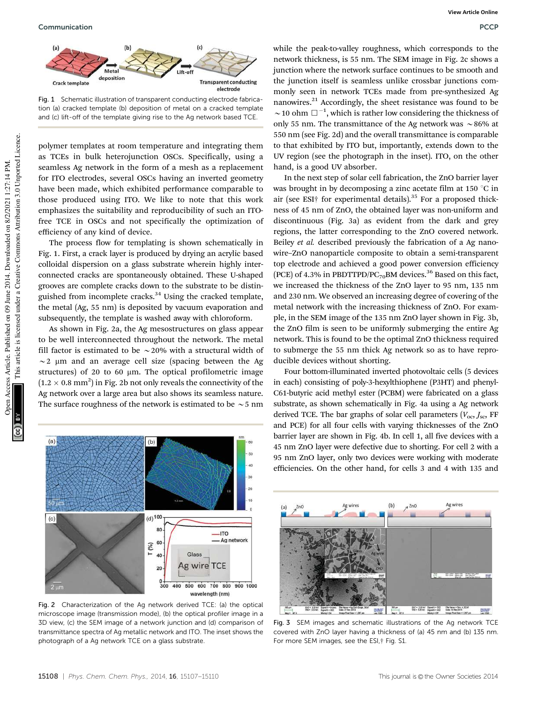

Fig. 1 Schematic illustration of transparent conducting electrode fabrication (a) cracked template (b) deposition of metal on a cracked template and (c) lift-off of the template giving rise to the Ag network based TCE.

polymer templates at room temperature and integrating them as TCEs in bulk heterojunction OSCs. Specifically, using a seamless Ag network in the form of a mesh as a replacement for ITO electrodes, several OSCs having an inverted geometry have been made, which exhibited performance comparable to those produced using ITO. We like to note that this work emphasizes the suitability and reproducibility of such an ITOfree TCE in OSCs and not specifically the optimization of efficiency of any kind of device.

The process flow for templating is shown schematically in Fig. 1. First, a crack layer is produced by drying an acrylic based colloidal dispersion on a glass substrate wherein highly interconnected cracks are spontaneously obtained. These U-shaped grooves are complete cracks down to the substrate to be distinguished from incomplete cracks.<sup>34</sup> Using the cracked template, the metal (Ag, 55 nm) is deposited by vacuum evaporation and subsequently, the template is washed away with chloroform.

As shown in Fig. 2a, the Ag mesostructures on glass appear to be well interconnected throughout the network. The metal fill factor is estimated to be  $\sim$  20% with a structural width of  $\sim$  2 µm and an average cell size (spacing between the Ag structures) of 20 to 60  $\mu$ m. The optical profilometric image  $(1.2 \times 0.8 \text{ mm}^2)$  in Fig. 2b not only reveals the connectivity of the Ag network over a large area but also shows its seamless nature. The surface roughness of the network is estimated to be  $\sim$  5 nm



Fig. 2 Characterization of the Ag network derived TCE: (a) the optical microscope image (transmission mode), (b) the optical profiler image in a 3D view, (c) the SEM image of a network junction and (d) comparison of transmittance spectra of Ag metallic network and ITO. The inset shows the photograph of a Ag network TCE on a glass substrate.

while the peak-to-valley roughness, which corresponds to the network thickness, is 55 nm. The SEM image in Fig. 2c shows a junction where the network surface continues to be smooth and the junction itself is seamless unlike crossbar junctions commonly seen in network TCEs made from pre-synthesized Ag nanowires.<sup>21</sup> Accordingly, the sheet resistance was found to be  $\sim$  10 ohm  $\Box$ <sup>-1</sup>, which is rather low considering the thickness of only 55 nm. The transmittance of the Ag network was  $\sim$  86% at 550 nm (see Fig. 2d) and the overall transmittance is comparable to that exhibited by ITO but, importantly, extends down to the UV region (see the photograph in the inset). ITO, on the other hand, is a good UV absorber.

In the next step of solar cell fabrication, the ZnO barrier layer was brought in by decomposing a zinc acetate film at 150  $^{\circ}$ C in air (see ESI† for experimental details). $35$  For a proposed thickness of 45 nm of ZnO, the obtained layer was non-uniform and discontinuous (Fig. 3a) as evident from the dark and grey regions, the latter corresponding to the ZnO covered network. Beiley *et al.* described previously the fabrication of a Ag nanowire–ZnO nanoparticle composite to obtain a semi-transparent top electrode and achieved a good power conversion efficiency (PCE) of 4.3% in PBDTTPD/PC<sub>70</sub>BM devices.<sup>36</sup> Based on this fact, we increased the thickness of the ZnO layer to 95 nm, 135 nm and 230 nm. We observed an increasing degree of covering of the metal network with the increasing thickness of ZnO. For example, in the SEM image of the 135 nm ZnO layer shown in Fig. 3b, the ZnO film is seen to be uniformly submerging the entire Ag network. This is found to be the optimal ZnO thickness required to submerge the 55 nm thick Ag network so as to have reproducible devices without shorting.

Four bottom-illuminated inverted photovoltaic cells (5 devices in each) consisting of poly-3-hexylthiophene (P3HT) and phenyl-C61-butyric acid methyl ester (PCBM) were fabricated on a glass substrate, as shown schematically in Fig. 4a using a Ag network derived TCE. The bar graphs of solar cell parameters ( $V_{\text{oc}}$ , *J<sub>sc</sub>*, FF and PCE) for all four cells with varying thicknesses of the ZnO barrier layer are shown in Fig. 4b. In cell 1, all five devices with a 45 nm ZnO layer were defective due to shorting. For cell 2 with a 95 nm ZnO layer, only two devices were working with moderate efficiencies. On the other hand, for cells 3 and 4 with 135 and



Fig. 3 SEM images and schematic illustrations of the Ag network TCE covered with ZnO layer having a thickness of (a) 45 nm and (b) 135 nm. For more SEM images, see the ESI,† Fig. S1.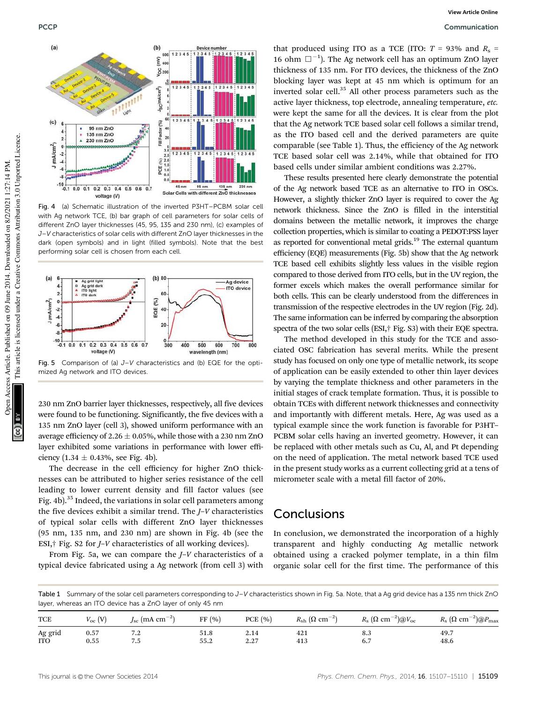

Fig. 4 (a) Schematic illustration of the inverted P3HT–PCBM solar cell with Ag network TCE, (b) bar graph of cell parameters for solar cells of different ZnO layer thicknesses (45, 95, 135 and 230 nm), (c) examples of J–V characteristics of solar cells with different ZnO layer thicknesses in the dark (open symbols) and in light (filled symbols). Note that the best performing solar cell is chosen from each cell.



Fig. 5 Comparison of (a)  $J-V$  characteristics and (b) EQE for the optimized Ag network and ITO devices.

230 nm ZnO barrier layer thicknesses, respectively, all five devices were found to be functioning. Significantly, the five devices with a 135 nm ZnO layer (cell 3), showed uniform performance with an average efficiency of 2.26  $\pm$  0.05%, while those with a 230 nm ZnO layer exhibited some variations in performance with lower efficiency  $(1.34 \pm 0.43\%$ , see Fig. 4b).

The decrease in the cell efficiency for higher ZnO thicknesses can be attributed to higher series resistance of the cell leading to lower current density and fill factor values (see Fig. 4b).<sup>35</sup> Indeed, the variations in solar cell parameters among the five devices exhibit a similar trend. The *J*–*V* characteristics of typical solar cells with different ZnO layer thicknesses (95 nm, 135 nm, and 230 nm) are shown in Fig. 4b (see the ESI,† Fig. S2 for *J*–*V* characteristics of all working devices).

From Fig. 5a, we can compare the *J*–*V* characteristics of a typical device fabricated using a Ag network (from cell 3) with

that produced using ITO as a TCE (ITO:  $T = 93\%$  and  $R_s =$ 16 ohm  $\Box^{-1}$ ). The Ag network cell has an optimum ZnO layer thickness of 135 nm. For ITO devices, the thickness of the ZnO blocking layer was kept at 45 nm which is optimum for an inverted solar cell.<sup>35</sup> All other process parameters such as the active layer thickness, top electrode, annealing temperature, *etc.* were kept the same for all the devices. It is clear from the plot that the Ag network TCE based solar cell follows a similar trend, as the ITO based cell and the derived parameters are quite comparable (see Table 1). Thus, the efficiency of the Ag network TCE based solar cell was 2.14%, while that obtained for ITO based cells under similar ambient conditions was 2.27%.

These results presented here clearly demonstrate the potential of the Ag network based TCE as an alternative to ITO in OSCs. However, a slightly thicker ZnO layer is required to cover the Ag network thickness. Since the ZnO is filled in the interstitial domains between the metallic network, it improves the charge collection properties, which is similar to coating a PEDOT:PSS layer as reported for conventional metal grids.<sup>19</sup> The external quantum efficiency (EQE) measurements (Fig. 5b) show that the Ag network TCE based cell exhibits slightly less values in the visible region compared to those derived from ITO cells, but in the UV region, the former excels which makes the overall performance similar for both cells. This can be clearly understood from the differences in transmission of the respective electrodes in the UV region (Fig. 2d). The same information can be inferred by comparing the absorption spectra of the two solar cells (ESI,† Fig. S3) with their EQE spectra.

The method developed in this study for the TCE and associated OSC fabrication has several merits. While the present study has focused on only one type of metallic network, its scope of application can be easily extended to other thin layer devices by varying the template thickness and other parameters in the initial stages of crack template formation. Thus, it is possible to obtain TCEs with different network thicknesses and connectivity and importantly with different metals. Here, Ag was used as a typical example since the work function is favorable for P3HT– PCBM solar cells having an inverted geometry. However, it can be replaced with other metals such as Cu, Al, and Pt depending on the need of application. The metal network based TCE used in the present study works as a current collecting grid at a tens of micrometer scale with a metal fill factor of 20%.

#### Conclusions

In conclusion, we demonstrated the incorporation of a highly transparent and highly conducting Ag metallic network obtained using a cracked polymer template, in a thin film organic solar cell for the first time. The performance of this

Table 1 Summary of the solar cell parameters corresponding to J–V characteristics shown in Fig. 5a. Note, that a Ag grid device has a 135 nm thick ZnO layer, whereas an ITO device has a ZnO layer of only 45 nm

| <b>TCE</b> | $V_{\rm oc}$ (V) | $J_{\rm sc}$ (mA $\rm cm^{-2})$ | FF(%) | PCE(%) | $R_{\rm sh}$ ( $\Omega$ cm <sup>-2</sup> ) | $R_{\rm s}~(\Omega~{\rm cm}^{-2})$ @V <sub>oc</sub> | $R_{\rm s}~(\Omega~{\rm cm}^{-2})$ @ $P_{\rm max}$ |
|------------|------------------|---------------------------------|-------|--------|--------------------------------------------|-----------------------------------------------------|----------------------------------------------------|
| Ag grid    | 0.57             | 7.2                             | 51.8  | 2.14   | 421                                        | 8.3                                                 | 49.7                                               |
| <b>ITO</b> | 0.55             | 7.5                             | 55.2  | 2.27   | 413                                        | 6.7                                                 | 48.6                                               |